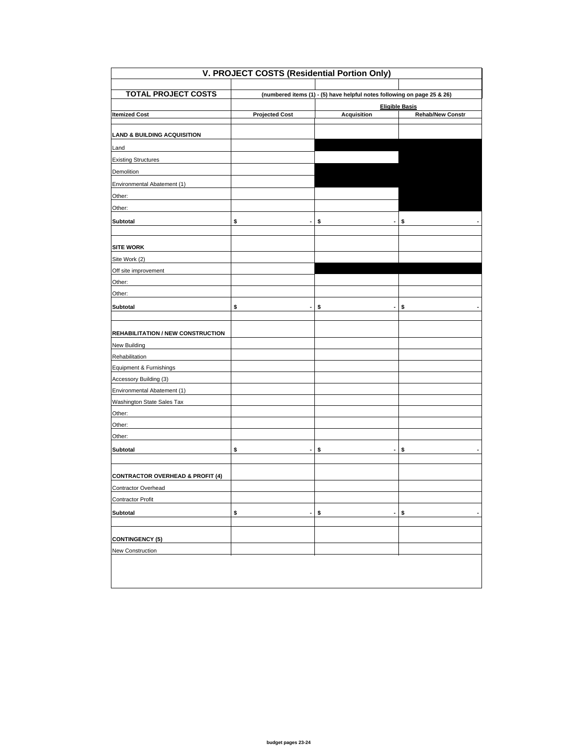| V. PROJECT COSTS (Residential Portion Only)                        |                                                                         |                                       |                         |  |
|--------------------------------------------------------------------|-------------------------------------------------------------------------|---------------------------------------|-------------------------|--|
|                                                                    |                                                                         |                                       |                         |  |
| <b>TOTAL PROJECT COSTS</b>                                         | (numbered items (1) - (5) have helpful notes following on page 25 & 26) |                                       |                         |  |
|                                                                    |                                                                         |                                       | <b>Eligible Basis</b>   |  |
| <b>Itemized Cost</b>                                               | <b>Projected Cost</b>                                                   | <b>Acquisition</b>                    | <b>Rehab/New Constr</b> |  |
| <b>LAND &amp; BUILDING ACQUISITION</b>                             |                                                                         |                                       |                         |  |
| Land                                                               |                                                                         |                                       |                         |  |
| <b>Existing Structures</b>                                         |                                                                         |                                       |                         |  |
| Demolition                                                         |                                                                         |                                       |                         |  |
| Environmental Abatement (1)                                        |                                                                         |                                       |                         |  |
| Other:                                                             |                                                                         |                                       |                         |  |
| Other:                                                             |                                                                         |                                       |                         |  |
| Subtotal                                                           | \$<br>$\blacksquare$                                                    | \$<br>$\overline{\phantom{a}}$        | \$                      |  |
| <b>SITE WORK</b>                                                   |                                                                         |                                       |                         |  |
| Site Work (2)                                                      |                                                                         |                                       |                         |  |
| Off site improvement                                               |                                                                         |                                       |                         |  |
| Other:                                                             |                                                                         |                                       |                         |  |
| Other:                                                             |                                                                         |                                       |                         |  |
| Subtotal                                                           | \$                                                                      | \$<br>$\centering \label{eq:reduced}$ | \$                      |  |
|                                                                    |                                                                         |                                       |                         |  |
| <b>REHABILITATION / NEW CONSTRUCTION</b>                           |                                                                         |                                       |                         |  |
| <b>New Building</b>                                                |                                                                         |                                       |                         |  |
| Rehabilitation                                                     |                                                                         |                                       |                         |  |
| Equipment & Furnishings                                            |                                                                         |                                       |                         |  |
| Accessory Building (3)                                             |                                                                         |                                       |                         |  |
| Environmental Abatement (1)                                        |                                                                         |                                       |                         |  |
| Washington State Sales Tax                                         |                                                                         |                                       |                         |  |
| Other:                                                             |                                                                         |                                       |                         |  |
| Other:                                                             |                                                                         |                                       |                         |  |
| Other:                                                             |                                                                         |                                       |                         |  |
| Subtotal                                                           | \$                                                                      | \$                                    | \$                      |  |
|                                                                    |                                                                         |                                       |                         |  |
| <b>CONTRACTOR OVERHEAD &amp; PROFIT (4)</b><br>Contractor Overhead |                                                                         |                                       |                         |  |
| <b>Contractor Profit</b>                                           |                                                                         |                                       |                         |  |
|                                                                    |                                                                         |                                       |                         |  |
| <b>Subtotal</b>                                                    | \$<br>$\blacksquare$                                                    | \$<br>ä,                              | \$                      |  |
| <b>CONTINGENCY (5)</b>                                             |                                                                         |                                       |                         |  |
| New Construction                                                   |                                                                         |                                       |                         |  |
|                                                                    |                                                                         |                                       |                         |  |